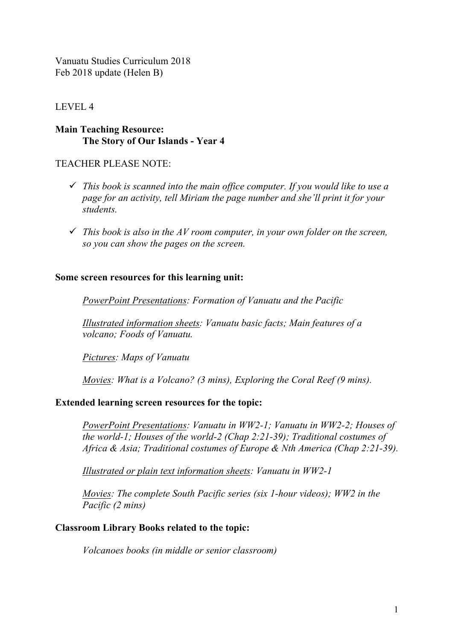Vanuatu Studies Curriculum 2018 Feb 2018 update (Helen B)

# LEVEL 4

### **Main Teaching Resource: The Story of Our Islands - Year 4**

TEACHER PLEASE NOTE:

- ü *This book is scanned into the main office computer. If you would like to use a page for an activity, tell Miriam the page number and she'll print it for your students.*
- $\checkmark$  This book is also in the AV room computer, in your own folder on the screen, *so you can show the pages on the screen.*

## **Some screen resources for this learning unit:**

*PowerPoint Presentations: Formation of Vanuatu and the Pacific*

*Illustrated information sheets: Vanuatu basic facts; Main features of a volcano; Foods of Vanuatu.*

*Pictures: Maps of Vanuatu*

*Movies: What is a Volcano? (3 mins), Exploring the Coral Reef (9 mins).*

#### **Extended learning screen resources for the topic:**

*PowerPoint Presentations: Vanuatu in WW2-1; Vanuatu in WW2-2; Houses of the world-1; Houses of the world-2 (Chap 2:21-39); Traditional costumes of Africa & Asia; Traditional costumes of Europe & Nth America (Chap 2:21-39).*

*Illustrated or plain text information sheets: Vanuatu in WW2-1*

*Movies: The complete South Pacific series (six 1-hour videos); WW2 in the Pacific (2 mins)*

#### **Classroom Library Books related to the topic:**

*Volcanoes books (in middle or senior classroom)*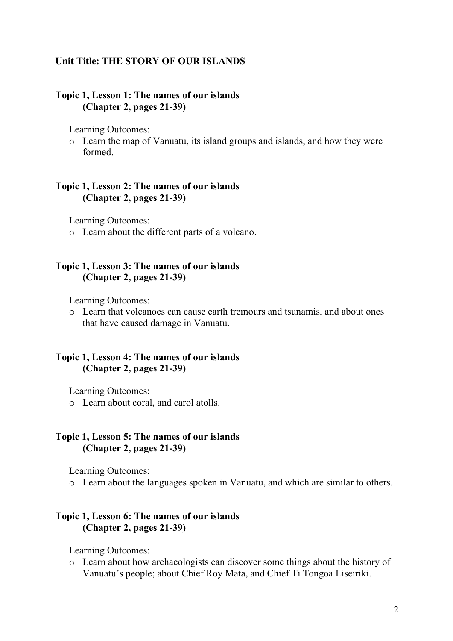#### **Unit Title: THE STORY OF OUR ISLANDS**

### **Topic 1, Lesson 1: The names of our islands (Chapter 2, pages 21-39)**

Learning Outcomes:

o Learn the map of Vanuatu, its island groups and islands, and how they were formed.

#### **Topic 1, Lesson 2: The names of our islands (Chapter 2, pages 21-39)**

Learning Outcomes:

o Learn about the different parts of a volcano.

### **Topic 1, Lesson 3: The names of our islands (Chapter 2, pages 21-39)**

Learning Outcomes:

o Learn that volcanoes can cause earth tremours and tsunamis, and about ones that have caused damage in Vanuatu.

### **Topic 1, Lesson 4: The names of our islands (Chapter 2, pages 21-39)**

Learning Outcomes:

o Learn about coral, and carol atolls.

### **Topic 1, Lesson 5: The names of our islands (Chapter 2, pages 21-39)**

Learning Outcomes:

o Learn about the languages spoken in Vanuatu, and which are similar to others.

### **Topic 1, Lesson 6: The names of our islands (Chapter 2, pages 21-39)**

Learning Outcomes:

o Learn about how archaeologists can discover some things about the history of Vanuatu's people; about Chief Roy Mata, and Chief Ti Tongoa Liseiriki.